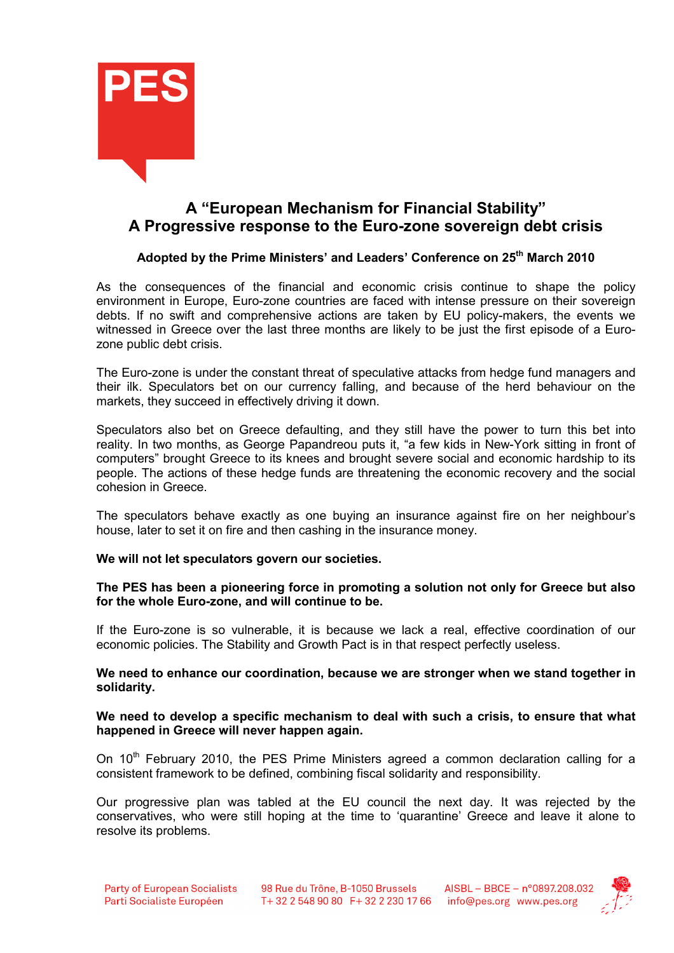

# A "European Mechanism for Financial Stability" A Progressive response to the Euro-zone sovereign debt crisis

## Adopted by the Prime Ministers' and Leaders' Conference on 25<sup>th</sup> March 2010

As the consequences of the financial and economic crisis continue to shape the policy environment in Europe, Euro-zone countries are faced with intense pressure on their sovereign debts. If no swift and comprehensive actions are taken by EU policy-makers, the events we witnessed in Greece over the last three months are likely to be just the first episode of a Eurozone public debt crisis.

The Euro-zone is under the constant threat of speculative attacks from hedge fund managers and their ilk. Speculators bet on our currency falling, and because of the herd behaviour on the markets, they succeed in effectively driving it down.

Speculators also bet on Greece defaulting, and they still have the power to turn this bet into reality. In two months, as George Papandreou puts it, "a few kids in New-York sitting in front of computers" brought Greece to its knees and brought severe social and economic hardship to its people. The actions of these hedge funds are threatening the economic recovery and the social cohesion in Greece.

The speculators behave exactly as one buying an insurance against fire on her neighbour's house, later to set it on fire and then cashing in the insurance money.

### We will not let speculators govern our societies.

### The PES has been a pioneering force in promoting a solution not only for Greece but also for the whole Euro-zone, and will continue to be.

If the Euro-zone is so vulnerable, it is because we lack a real, effective coordination of our economic policies. The Stability and Growth Pact is in that respect perfectly useless.

We need to enhance our coordination, because we are stronger when we stand together in solidarity.

#### We need to develop a specific mechanism to deal with such a crisis, to ensure that what happened in Greece will never happen again.

On  $10<sup>th</sup>$  Februarv 2010, the PES Prime Ministers agreed a common declaration calling for a consistent framework to be defined, combining fiscal solidarity and responsibility.

Our progressive plan was tabled at the EU council the next day. It was rejected by the conservatives, who were still hoping at the time to 'quarantine' Greece and leave it alone to resolve its problems.

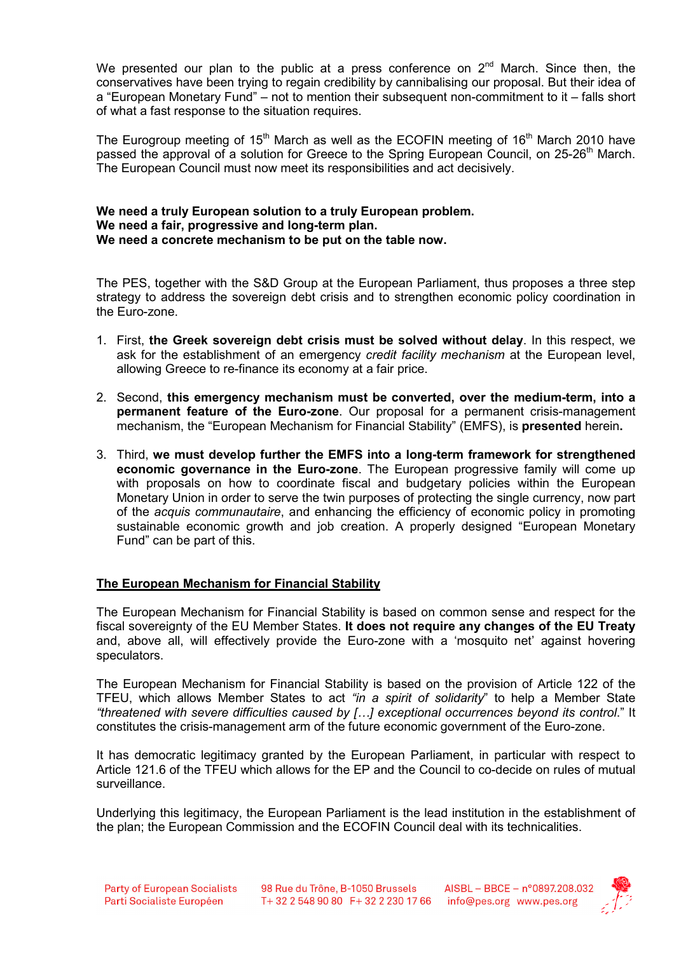We presented our plan to the public at a press conference on  $2<sup>nd</sup>$  March. Since then, the conservatives have been trying to regain credibility by cannibalising our proposal. But their idea of a "European Monetary Fund" – not to mention their subsequent non-commitment to it – falls short of what a fast response to the situation requires.

The Eurogroup meeting of  $15<sup>th</sup>$  March as well as the ECOFIN meeting of  $16<sup>th</sup>$  March 2010 have passed the approval of a solution for Greece to the Spring European Council, on 25-26<sup>th</sup> March. The European Council must now meet its responsibilities and act decisively.

#### We need a truly European solution to a truly European problem. We need a fair, progressive and long-term plan. We need a concrete mechanism to be put on the table now.

The PES, together with the S&D Group at the European Parliament, thus proposes a three step strategy to address the sovereign debt crisis and to strengthen economic policy coordination in the Euro-zone.

- 1. First, the Greek sovereign debt crisis must be solved without delay. In this respect, we ask for the establishment of an emergency credit facility mechanism at the European level, allowing Greece to re-finance its economy at a fair price.
- 2. Second, this emergency mechanism must be converted, over the medium-term, into a permanent feature of the Euro-zone. Our proposal for a permanent crisis-management mechanism, the "European Mechanism for Financial Stability" (EMFS), is presented herein.
- 3. Third, we must develop further the EMFS into a long-term framework for strengthened economic governance in the Euro-zone. The European progressive family will come up with proposals on how to coordinate fiscal and budgetary policies within the European Monetary Union in order to serve the twin purposes of protecting the single currency, now part of the acquis communautaire, and enhancing the efficiency of economic policy in promoting sustainable economic growth and job creation. A properly designed "European Monetary Fund" can be part of this.

### The European Mechanism for Financial Stability

The European Mechanism for Financial Stability is based on common sense and respect for the fiscal sovereignty of the EU Member States. It does not require any changes of the EU Treaty and, above all, will effectively provide the Euro-zone with a 'mosquito net' against hovering speculators.

The European Mechanism for Financial Stability is based on the provision of Article 122 of the TFEU, which allows Member States to act "in a spirit of solidarity" to help a Member State "threatened with severe difficulties caused by […] exceptional occurrences beyond its control." It constitutes the crisis-management arm of the future economic government of the Euro-zone.

It has democratic legitimacy granted by the European Parliament, in particular with respect to Article 121.6 of the TFEU which allows for the EP and the Council to co-decide on rules of mutual surveillance.

Underlying this legitimacy, the European Parliament is the lead institution in the establishment of the plan; the European Commission and the ECOFIN Council deal with its technicalities.

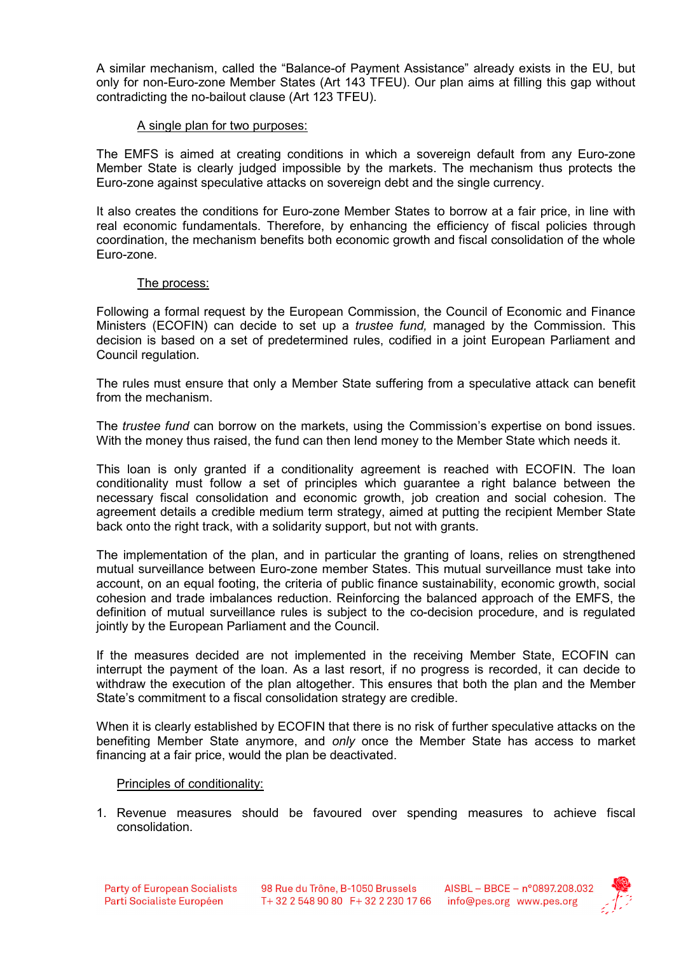A similar mechanism, called the "Balance-of Payment Assistance" already exists in the EU, but only for non-Euro-zone Member States (Art 143 TFEU). Our plan aims at filling this gap without contradicting the no-bailout clause (Art 123 TFEU).

### A single plan for two purposes:

The EMFS is aimed at creating conditions in which a sovereign default from any Euro-zone Member State is clearly judged impossible by the markets. The mechanism thus protects the Euro-zone against speculative attacks on sovereign debt and the single currency.

It also creates the conditions for Euro-zone Member States to borrow at a fair price, in line with real economic fundamentals. Therefore, by enhancing the efficiency of fiscal policies through coordination, the mechanism benefits both economic growth and fiscal consolidation of the whole Euro-zone.

### The process:

Following a formal request by the European Commission, the Council of Economic and Finance Ministers (ECOFIN) can decide to set up a *trustee fund*, managed by the Commission. This decision is based on a set of predetermined rules, codified in a joint European Parliament and Council regulation.

The rules must ensure that only a Member State suffering from a speculative attack can benefit from the mechanism.

The *trustee fund* can borrow on the markets, using the Commission's expertise on bond issues. With the money thus raised, the fund can then lend money to the Member State which needs it.

This loan is only granted if a conditionality agreement is reached with ECOFIN. The loan conditionality must follow a set of principles which guarantee a right balance between the necessary fiscal consolidation and economic growth, job creation and social cohesion. The agreement details a credible medium term strategy, aimed at putting the recipient Member State back onto the right track, with a solidarity support, but not with grants.

The implementation of the plan, and in particular the granting of loans, relies on strengthened mutual surveillance between Euro-zone member States. This mutual surveillance must take into account, on an equal footing, the criteria of public finance sustainability, economic growth, social cohesion and trade imbalances reduction. Reinforcing the balanced approach of the EMFS, the definition of mutual surveillance rules is subject to the co-decision procedure, and is regulated jointly by the European Parliament and the Council.

If the measures decided are not implemented in the receiving Member State, ECOFIN can interrupt the payment of the loan. As a last resort, if no progress is recorded, it can decide to withdraw the execution of the plan altogether. This ensures that both the plan and the Member State's commitment to a fiscal consolidation strategy are credible.

When it is clearly established by ECOFIN that there is no risk of further speculative attacks on the benefiting Member State anymore, and only once the Member State has access to market financing at a fair price, would the plan be deactivated.

### Principles of conditionality:

1. Revenue measures should be favoured over spending measures to achieve fiscal consolidation.